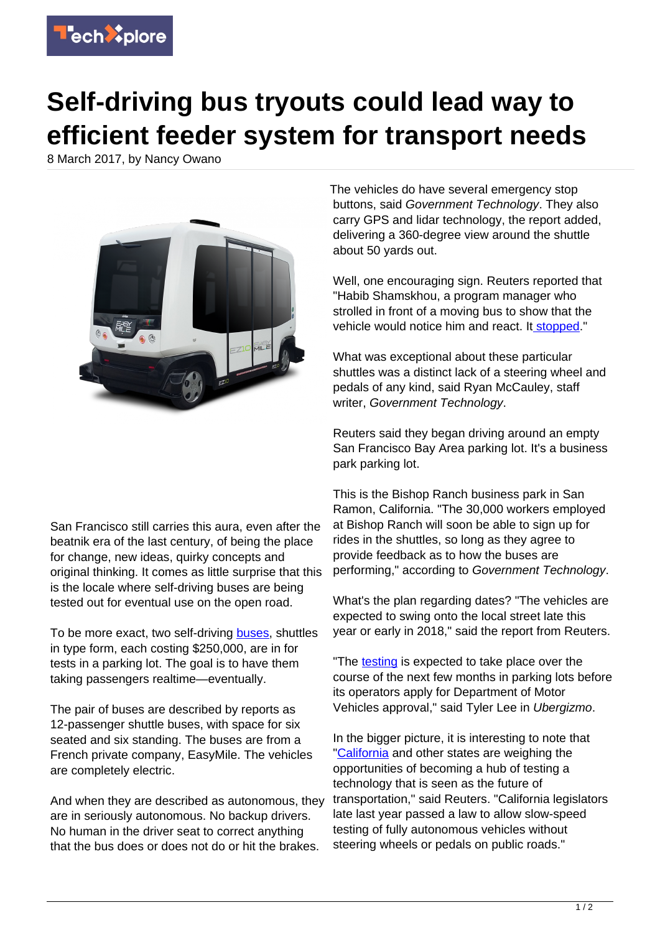

## **Self-driving bus tryouts could lead way to efficient feeder system for transport needs**

8 March 2017, by Nancy Owano



The vehicles do have several emergency stop buttons, said Government Technology. They also carry GPS and lidar technology, the report added, delivering a 360-degree view around the shuttle about 50 yards out.

Well, one encouraging sign. Reuters reported that "Habib Shamskhou, a program manager who strolled in front of a moving bus to show that the vehicle would notice him and react. It [stopped](http://www.reuters.com/article/us-california-autonomous-bus-idUSKBN16E08I?feedType=RSS&feedName=technologyNews)."

What was exceptional about these particular shuttles was a distinct lack of a steering wheel and pedals of any kind, said Ryan McCauley, staff writer, Government Technology.

Reuters said they began driving around an empty San Francisco Bay Area parking lot. It's a business park parking lot.

This is the Bishop Ranch business park in San Ramon, California. "The 30,000 workers employed at Bishop Ranch will soon be able to sign up for rides in the shuttles, so long as they agree to provide feedback as to how the buses are performing," according to Government Technology.

What's the plan regarding dates? "The vehicles are expected to swing onto the local street late this year or early in 2018," said the report from Reuters.

"The [testing](http://www.ubergizmo.com/2017/03/self-driving-bus-san-francisco/) is expected to take place over the course of the next few months in parking lots before its operators apply for Department of Motor Vehicles approval," said Tyler Lee in Ubergizmo.

In the bigger picture, it is interesting to note that ["California](http://www.reuters.com/article/us-california-autonomous-bus-idUSKBN16E08I?feedType=RSS&feedName=technologyNews) and other states are weighing the opportunities of becoming a hub of testing a technology that is seen as the future of transportation," said Reuters. "California legislators late last year passed a law to allow slow-speed testing of fully autonomous vehicles without steering wheels or pedals on public roads."

San Francisco still carries this aura, even after the beatnik era of the last century, of being the place for change, new ideas, quirky concepts and original thinking. It comes as little surprise that this is the locale where self-driving buses are being tested out for eventual use on the open road.

To be more exact, two self-driving [buses,](https://techxplore.com/tags/buses/) shuttles in type form, each costing \$250,000, are in for tests in a parking lot. The goal is to have them taking passengers realtime—eventually.

The pair of buses are described by reports as 12-passenger shuttle buses, with space for six seated and six standing. The buses are from a French private company, EasyMile. The vehicles are completely electric.

And when they are described as autonomous, they are in seriously autonomous. No backup drivers. No human in the driver seat to correct anything that the bus does or does not do or hit the brakes.